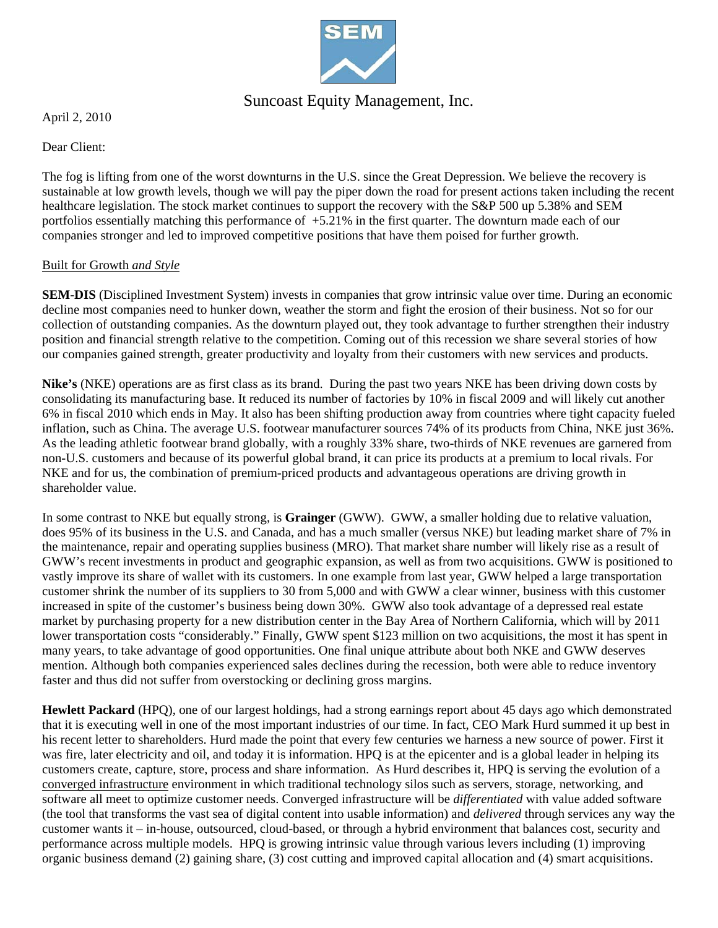

# Suncoast Equity Management, Inc.

April 2, 2010

Dear Client:

The fog is lifting from one of the worst downturns in the U.S. since the Great Depression. We believe the recovery is sustainable at low growth levels, though we will pay the piper down the road for present actions taken including the recent healthcare legislation. The stock market continues to support the recovery with the S&P 500 up 5.38% and SEM portfolios essentially matching this performance of +5.21% in the first quarter. The downturn made each of our companies stronger and led to improved competitive positions that have them poised for further growth.

### Built for Growth *and Style*

**SEM-DIS** (Disciplined Investment System) invests in companies that grow intrinsic value over time. During an economic decline most companies need to hunker down, weather the storm and fight the erosion of their business. Not so for our collection of outstanding companies. As the downturn played out, they took advantage to further strengthen their industry position and financial strength relative to the competition. Coming out of this recession we share several stories of how our companies gained strength, greater productivity and loyalty from their customers with new services and products.

**Nike's** (NKE) operations are as first class as its brand. During the past two years NKE has been driving down costs by consolidating its manufacturing base. It reduced its number of factories by 10% in fiscal 2009 and will likely cut another 6% in fiscal 2010 which ends in May. It also has been shifting production away from countries where tight capacity fueled inflation, such as China. The average U.S. footwear manufacturer sources 74% of its products from China, NKE just 36%. As the leading athletic footwear brand globally, with a roughly 33% share, two-thirds of NKE revenues are garnered from non-U.S. customers and because of its powerful global brand, it can price its products at a premium to local rivals. For NKE and for us, the combination of premium-priced products and advantageous operations are driving growth in shareholder value.

In some contrast to NKE but equally strong, is **Grainger** (GWW). GWW, a smaller holding due to relative valuation, does 95% of its business in the U.S. and Canada, and has a much smaller (versus NKE) but leading market share of 7% in the maintenance, repair and operating supplies business (MRO). That market share number will likely rise as a result of GWW's recent investments in product and geographic expansion, as well as from two acquisitions. GWW is positioned to vastly improve its share of wallet with its customers. In one example from last year, GWW helped a large transportation customer shrink the number of its suppliers to 30 from 5,000 and with GWW a clear winner, business with this customer increased in spite of the customer's business being down 30%. GWW also took advantage of a depressed real estate market by purchasing property for a new distribution center in the Bay Area of Northern California, which will by 2011 lower transportation costs "considerably." Finally, GWW spent \$123 million on two acquisitions, the most it has spent in many years, to take advantage of good opportunities. One final unique attribute about both NKE and GWW deserves mention. Although both companies experienced sales declines during the recession, both were able to reduce inventory faster and thus did not suffer from overstocking or declining gross margins.

**Hewlett Packard** (HPQ), one of our largest holdings, had a strong earnings report about 45 days ago which demonstrated that it is executing well in one of the most important industries of our time. In fact, CEO Mark Hurd summed it up best in his recent letter to shareholders. Hurd made the point that every few centuries we harness a new source of power. First it was fire, later electricity and oil, and today it is information. HPQ is at the epicenter and is a global leader in helping its customers create, capture, store, process and share information. As Hurd describes it, HPQ is serving the evolution of a converged infrastructure environment in which traditional technology silos such as servers, storage, networking, and software all meet to optimize customer needs. Converged infrastructure will be *differentiated* with value added software (the tool that transforms the vast sea of digital content into usable information) and *delivered* through services any way the customer wants it – in-house, outsourced, cloud-based, or through a hybrid environment that balances cost, security and performance across multiple models. HPQ is growing intrinsic value through various levers including (1) improving organic business demand (2) gaining share, (3) cost cutting and improved capital allocation and (4) smart acquisitions.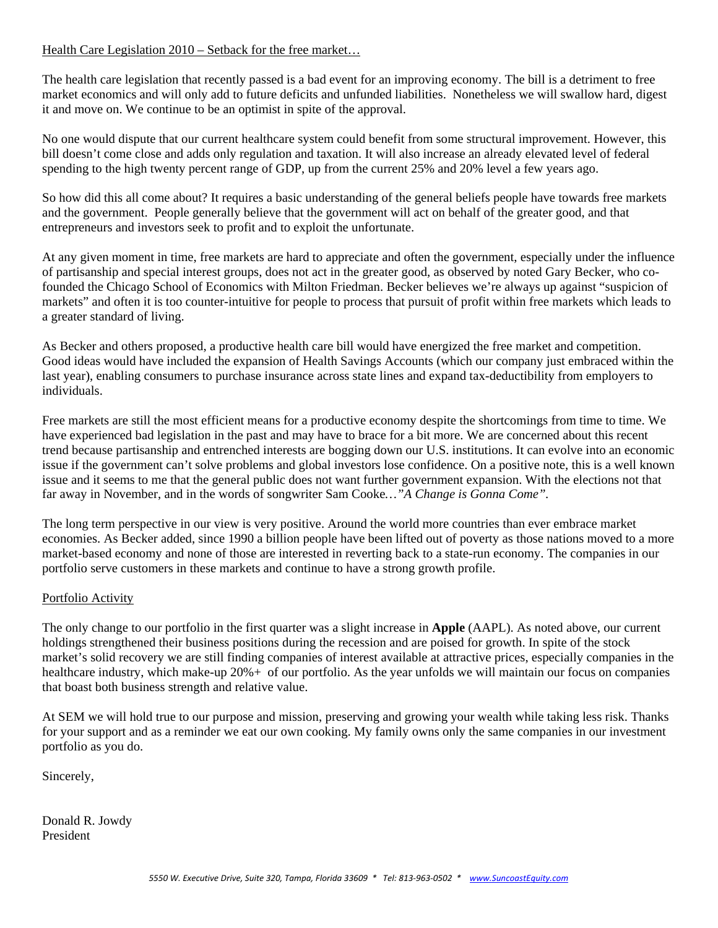## Health Care Legislation 2010 – Setback for the free market…

The health care legislation that recently passed is a bad event for an improving economy. The bill is a detriment to free market economics and will only add to future deficits and unfunded liabilities. Nonetheless we will swallow hard, digest it and move on. We continue to be an optimist in spite of the approval.

No one would dispute that our current healthcare system could benefit from some structural improvement. However, this bill doesn't come close and adds only regulation and taxation. It will also increase an already elevated level of federal spending to the high twenty percent range of GDP, up from the current 25% and 20% level a few years ago.

So how did this all come about? It requires a basic understanding of the general beliefs people have towards free markets and the government. People generally believe that the government will act on behalf of the greater good, and that entrepreneurs and investors seek to profit and to exploit the unfortunate.

At any given moment in time, free markets are hard to appreciate and often the government, especially under the influence of partisanship and special interest groups, does not act in the greater good, as observed by noted Gary Becker, who cofounded the Chicago School of Economics with Milton Friedman. Becker believes we're always up against "suspicion of markets" and often it is too counter-intuitive for people to process that pursuit of profit within free markets which leads to a greater standard of living.

As Becker and others proposed, a productive health care bill would have energized the free market and competition. Good ideas would have included the expansion of Health Savings Accounts (which our company just embraced within the last year), enabling consumers to purchase insurance across state lines and expand tax-deductibility from employers to individuals.

Free markets are still the most efficient means for a productive economy despite the shortcomings from time to time. We have experienced bad legislation in the past and may have to brace for a bit more. We are concerned about this recent trend because partisanship and entrenched interests are bogging down our U.S. institutions. It can evolve into an economic issue if the government can't solve problems and global investors lose confidence. On a positive note, this is a well known issue and it seems to me that the general public does not want further government expansion. With the elections not that far away in November, and in the words of songwriter Sam Cooke*…"A Change is Gonna Come".*

The long term perspective in our view is very positive. Around the world more countries than ever embrace market economies. As Becker added, since 1990 a billion people have been lifted out of poverty as those nations moved to a more market-based economy and none of those are interested in reverting back to a state-run economy. The companies in our portfolio serve customers in these markets and continue to have a strong growth profile.

### Portfolio Activity

The only change to our portfolio in the first quarter was a slight increase in **Apple** (AAPL). As noted above, our current holdings strengthened their business positions during the recession and are poised for growth. In spite of the stock market's solid recovery we are still finding companies of interest available at attractive prices, especially companies in the healthcare industry, which make-up 20% + of our portfolio. As the year unfolds we will maintain our focus on companies that boast both business strength and relative value.

At SEM we will hold true to our purpose and mission, preserving and growing your wealth while taking less risk. Thanks for your support and as a reminder we eat our own cooking. My family owns only the same companies in our investment portfolio as you do.

Sincerely,

Donald R. Jowdy President